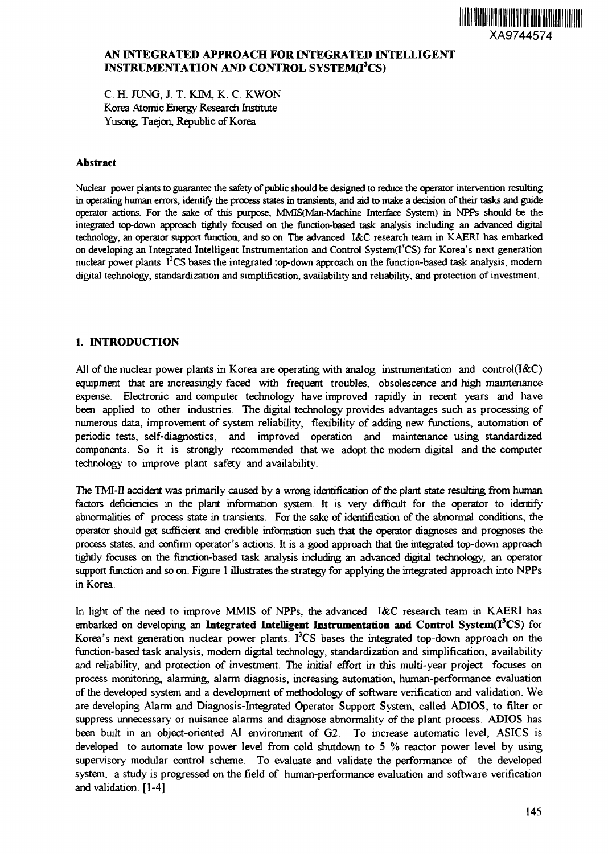### **AN INTEGRATED APPROACH FOR INTEGRATED INTELLIGENT INSTRUMENTATION AND CONTROL SYSTEM(I<sup>3</sup>CS)**

C. H. JUNG, J. T. KIM, K. C. KWON Korea Atomic Energy Research Institute Yusong, Taejon, Republic of Korea

### **Abstract**

Nuclear power plants to guarantee the safety of public should be designed to reduce the operator intervention resulting in operating human errors, identify the process states in transients, and aid to make a decision of their tasks and guide operator actions. For the sake of this purpose, MMIS(Man-Machine Interface System) in NPPs should be the integrated top-down approach tightly focused on the function-based task analysis including an advanced digital technology, an operator support function, and so on. The advanced I&C research team in KAERI has embarked on developing an Integrated Intelligent Instrumentation and Control System(I<sup>3</sup>CS) for Korea's next generation nuclear power plants. I<sup>3</sup>CS bases the integrated top-down approach on the function-based task analysis, modern digital technology, standardization and simplification, availability and reliability, and protection of investment.

## **1. INTRODUCTION**

All of the nuclear power plants in Korea are operating with analog instrumentation and control(I&C) equipment that are increasingly faced with frequent troubles, obsolescence and high maintenance expense. Electronic and computer technology have improved rapidly in recent years and have been applied to other industries. The digital technology provides advantages such as processing of numerous data, improvement of system reliability, flexibility of adding new functions, automation of periodic tests, self-diagnostics, and improved operation and maintenance using standardized components. So it is strongly recommended that we adopt the modern digital and the computer technology to improve plant safety and availability.

The TM-II accident was primarily caused by a wrong identification of the plant state resulting from human factors deficiencies in the plant information system. It is very difficult for the operator to identify abnormalities of process state in transients. For the sake of identification of the abnormal conditions, the operator should get sufficient and credible information such that the operator diagnoses and prognoses the process states, and confirm operator's actions. It is a good approach that the integrated top-down approach tightly focuses on the function-based task analysis including an advanced digital technology, an operator support function and so on. Figure 1 illustrates the strategy for applying the integrated approach into NPPs in Korea.

In light of the need to improve MMIS of NPPs, the advanced I&C research team in KAERI has embarked on developing an **Integrated InteUigent Instrumentation and Control System(I<sup>3</sup>CS)** for Korea's next generation nuclear power plants.  $I<sup>3</sup>CS$  bases the integrated top-down approach on the function-based task analysis, modern digital technology, standardization and simplification, availability and reliability, and protection of investment. The initial effort in this multi-year project focuses on process monitoring, alarming, alarm diagnosis, increasing automation, human-performance evaluation of the developed system and a development of methodology of software verification and validation. We are developing Alarm and Diagnosis-Integrated Operator Support System, called ADIOS, to filter or suppress unnecessary or nuisance alarms and diagnose abnormality of the plant process. ADIOS has been built in an object-oriented AI environment of G2. To increase automatic level, ASICS is developed to automate low power level from cold shutdown to 5 % reactor power level by using supervisory modular control scheme. To evaluate and validate the performance of the developed system, a study is progressed on the field of human-performance evaluation and software verification and validation. [1-4]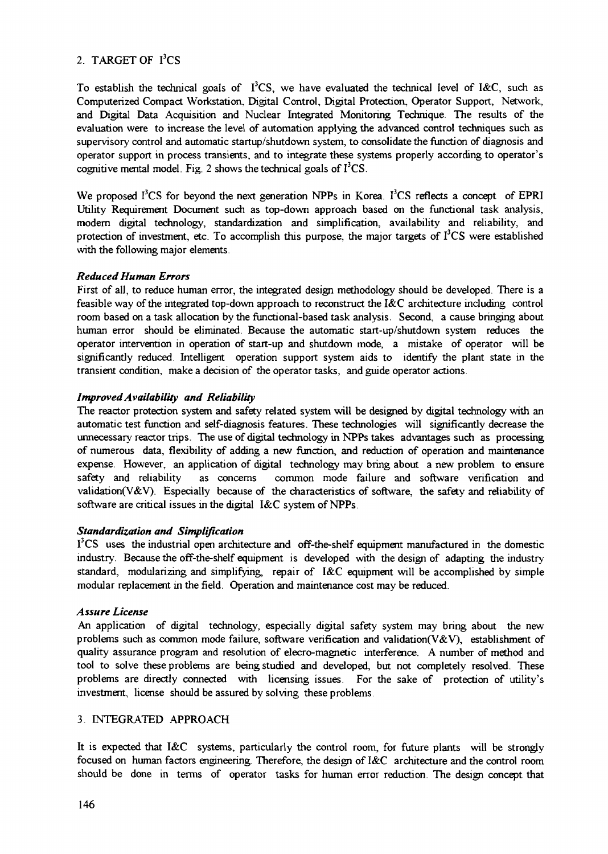# 2. TARGET OF  $I^3CS$

To establish the technical goals of  $I^3CS$ , we have evaluated the technical level of I&C, such as Computerized Compact Workstation, Digital Control, Digital Protection, Operator Support, Network, and Digital Data Acquisition and Nuclear Integrated Monitoring Technique. The results of the evaluation were to increase the level of automation applying the advanced control techniques such as supervisory control and automatic startup/shutdown system, to consolidate the function of diagnosis and operator support in process transients, and to integrate these systems properly according to operator's cognitive mental model. Fig. 2 shows the technical goals of  $I<sup>3</sup>CS$ .

We proposed  $I^3CS$  for beyond the next generation NPPs in Korea.  $I^3CS$  reflects a concept of EPRI Utility Requirement Document such as top-down approach based on the functional task analysis, modem digital technology, standardization and simplification, availability and reliability, and protection of investment, etc. To accomplish this purpose, the major targets of  $I<sup>3</sup>CS$  were established with the following major elements.

## *Reduced Human Errors*

First of all, to reduce human error, the integrated design methodology should be developed. There is a feasible way of the integrated top-down approach to reconstruct the I&C architecture including control room based on a task allocation by the functional-based task analysis. Second, a cause bringing about human error should be eliminated. Because the automatic start-up/shutdown system reduces the operator intervention in operation of start-up and shutdown mode, a mistake of operator will be significantly reduced. Intelligent operation support system aids to identify the plant state in the transient condition, make a decision of the operator tasks, and guide operator actions.

## *Improved Availability and Reliability*

The reactor protection system and safety related system will be designed by digital technology with an automatic test function and self-diagnosis features. These technologies will significantly decrease the unnecessary reactor trips. The use of digital technology in NPPs takes advantages such as processing of numerous data, flexibility of adding a new function, and reduction of operation and maintenance expense. However, an application of digital technology may bring about a new problem to ensure safety and reliability as concerns common mode failure and software verification and validation(V&V). Especially because of the characteristics of software, the safety and reliability of software are critical issues in the digital I&C system of NPPs.

### *Standardization and Simplification*

I<sup>3</sup>CS uses the industrial open architecture and off-the-shelf equipment manufactured in the domestic industry. Because the off-the-shelf equipment is developed with the design of adapting the industry standard, modularizing and simplifying, repair of I&C equipment will be accomplished by simple modular replacement in the field. Operation and maintenance cost may be reduced.

### *Assure License*

An application of digital technology, especially digital safety system may bring about the new problems such as common mode failure, software verification and validation(V&V), establishment of quality assurance program and resolution of elecro-magnetic interference. A number of method and tool to solve these problems are being studied and developed, but not completely resolved. These problems are directly connected with licensing issues. For the sake of protection of utility's investment, license should be assured by solving these problems.

## 3 INTEGRATED APPROACH

It is expected that I&C systems, particularly the control room, for future plants will be strongly focused on human factors engineering. Therefore, the design of I&C architecture and the control room should be done in terms of operator tasks for human error reduction The design concept that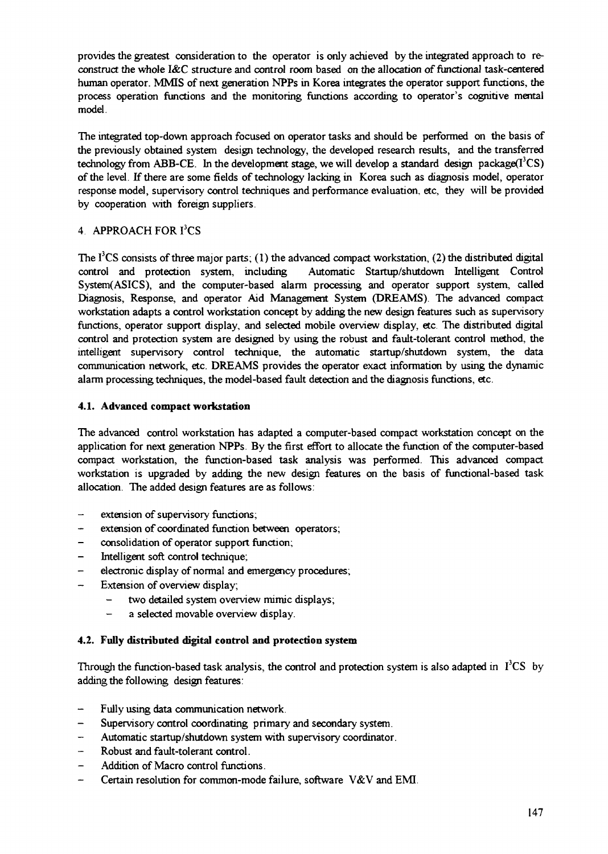provides the greatest consideration to the operator is only achieved by the integrated approach to reconstruct the whole *l&C* structure and control room based on the allocation of functional task-centered human operator. MMIS of next generation NPPs in Korea integrates the operator support functions, the process operation functions and the monitoring functions according to operator's cognitive mental model.

The integrated top-down approach focused on operator tasks and should be performed on the basis of the previously obtained system design technology, the developed research results, and the transferred technology from ABB-CE. In the development stage, we will develop a standard design package $(I<sup>2</sup>CS)$ of the level. If there are some fields of technology lacking in Korea such as diagnosis model, operator response model, supervisory control techniques and performance evaluation, etc, they will be provided by cooperation with foreign suppliers.

# 4. APPROACH FOR I<sup>3</sup>CS

The  $I<sup>3</sup>CS$  consists of three major parts; (1) the advanced compact workstation, (2) the distributed digital control and protection system, including Automatic Startup/shutdown Intelligent Control System(ASICS), and the computer-based alarm processing and operator support system, called Diagnosis, Response, and operator Aid Management System (DREAMS). The advanced compact workstation adapts a control workstation concept by adding the new design features such as supervisory functions, operator support display, and selected mobile overview display, etc. The distributed digital control and protection system are designed by using the robust and fault-tolerant control method, the intelligent supervisory control technique, the automatic startup/shutdown system, the data communication network, etc. DREAMS provides the operator exact information by using the dynamic alarm processing techniques, the model-based fault detection and the diagnosis functions, etc.

# 4.1. Advanced compact workstation

The advanced control workstation has adapted a computer-based compact workstation concept on the application for next generation NPPs. By the first effort to allocate the function of the computer-based compact workstation, the function-based task analysis was performed. This advanced compact workstation is upgraded by adding the new design features on the basis of functional-based task allocation. The added design features are as follows:

- extension of supervisory functions;
- extension of coordinated function between operators;
- consolidation of operator support function;
- Intelligent soft control technique;
- electronic display of normal and emergency procedures;
- Extension of overview display;
	- two detailed system overview mimic displays;
	- a selected movable overview display.

# 4.2. Fully distributed digital control and protection system

Through the function-based task analysis, the control and protection system is also adapted in  $I<sup>3</sup>CS$  by adding the following design features:

- Fully using data communication network.
- Supervisory control coordinating primary and secondary system.
- $\overline{\phantom{0}}$ Automatic startup/shutdown system with supervisory coordinator.
- Robust and fault-tolerant control.
- Addition of Macro control functions.  $\overline{\phantom{0}}$
- $\overline{a}$ Certain resolution for common-mode failure, software V&V and EMI.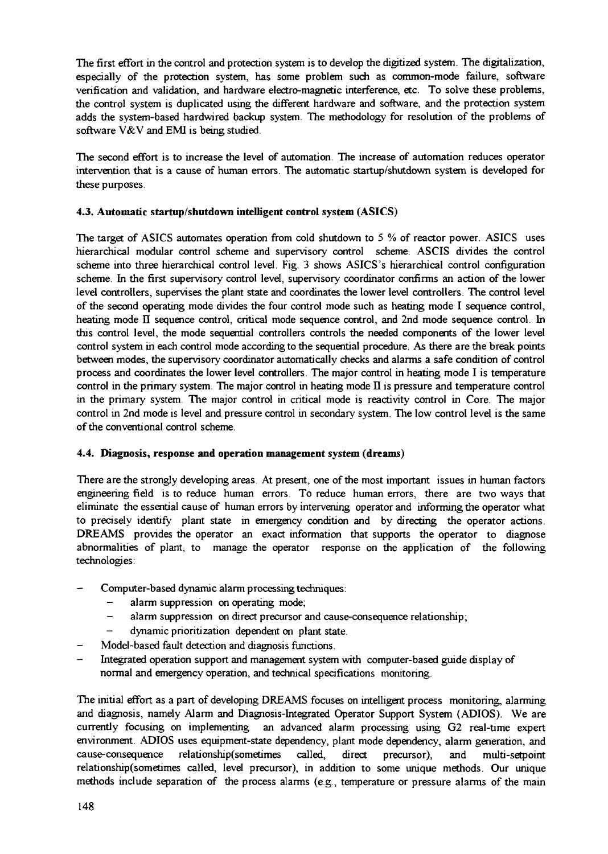The first effort in the control and protection system is to develop the digitized system. The digitalization, especially of the protection system, has some problem such as common-mode failure, software verification and validation, and hardware electro-magnetic interference, etc. To solve these problems, the control system is duplicated using the different hardware and software, and the protection system adds the system-based hardwired backup system. The methodology for resolution of the problems of software V&V and EMI is being studied.

The second effort is to increase the level of automation. The increase of automation reduces operator intervention that is a cause of human errors. The automatic startup/shutdown system is developed for these purposes.

## 4.3. Automatic startup/shutdown intelligent control system (ASICS)

The target of ASICS automates operation from cold shutdown to 5 % of reactor power. ASICS uses hierarchical modular control scheme and supervisory control scheme. ASCIS divides the control scheme into three hierarchical control level. Fig. 3 shows ASICS's hierarchical control configuration scheme. In the first supervisory control level, supervisory coordinator confirms an action of the lower level controllers, supervises the plant state and coordinates the lower level controllers. The control level of the second operating mode divides the four control mode such as heating mode I sequence control, heating mode II sequence control, critical mode sequence control, and 2nd mode sequence control. In this control level, the mode sequential controllers controls the needed components of the lower level control system in each control mode according to the sequential procedure. As there are the break points between modes, the supervisory coordinator automatically checks and alarms a safe condition of control process and coordinates the lower level controllers. The major control in heating mode I is temperature control in the primary system. The major control in heating mode  $\Pi$  is pressure and temperature control in the primary system. The major control in critical mode is reactivity control in Core. The major control in 2nd mode is level and pressure control in secondary system. The low control level is the same of the conventional control scheme.

### 4.4. Diagnosis, response and operation management system (dreams)

There are the strongly developing areas. At present, one of the most important issues in human factors engineering field is to reduce human errors. To reduce human errors, there are two ways that eliminate the essential cause of human errors by intervening operator and informing the operator what to precisely identify plant state in emergency condition and by directing the operator actions. DREAMS provides the operator an exact information that supports the operator to diagnose abnormalities of plant, to manage the operator response on the application of the following technologies:

- Computer-based dynamic alarm processing techniques:
	- alarm suppression on operating mode;
	- alarm suppression on direct precursor and cause-consequence relationship;
	- dynamic prioritization dependent on plant state.
- Model-based fault detection and diagnosis functions.
- Integrated operation support and management system with computer-based guide display of normal and emergency operation, and technical specifications monitoring.

The initial effort as a part of developing DREAMS focuses on intelligent process monitoring, alarming and diagnosis, namely Alarm and Diagnosis-Integrated Operator Support System (ADIOS). We are currently focusing on implementing an advanced alarm processing using G2 real-time expert environment. ADIOS uses equipment-state dependency, plant mode dependency, alarm generation, and cause-consequence relationship(sometimes called, direct precursor), and multi-setpoint relationship(sometimes called, level precursor), in addition to some unique methods. Our unique methods include separation of the process alarms (e.g., temperature or pressure alarms of the main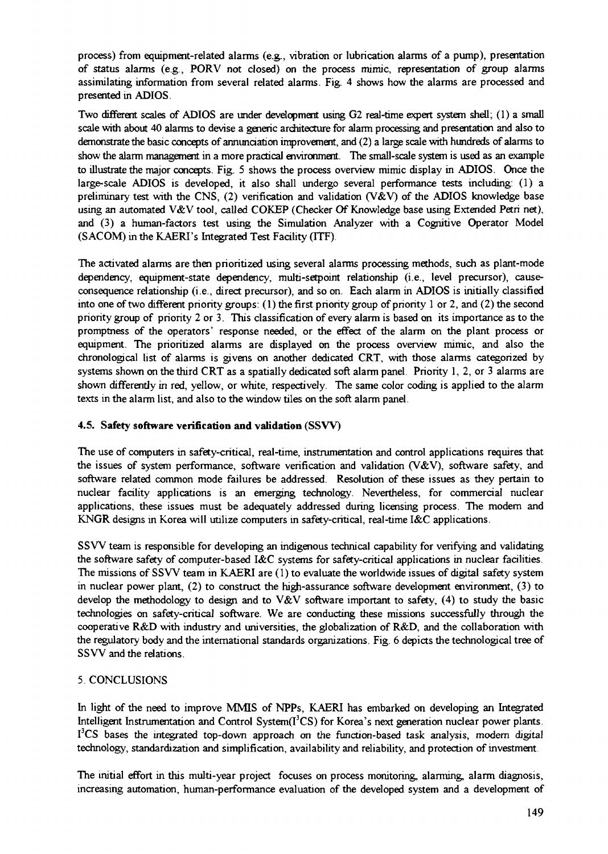process) from equipment-related alarms (e.g., vibration or lubrication alarms of a pump), presentation of status alarms (e.g., PORV not closed) on the process mimic, representation of group alarms assimilating information from several related alarms. Fig. 4 shows how the alarms are processed and presented in ADIOS.

Two different scales of ADIOS are under development using G2 real-time expert system shell; (1) a small scale with about 40 alarms to devise a generic architecture for alarm processing and presentation and also to demonstrate the basic concepts of annunciation improvement, and (2) a large scale with hundreds of alarms to show the alarm management in a more practical environment. The small-scale system is used as an example to illustrate the major concepts. Fig. 5 shows the process overview mimic display in ADIOS. Once the large-scale ADIOS is developed, it also shall undergo several performance tests including: (1) a preliminary test with the CNS, (2) verification and validation (V&V) of the ADIOS knowledge base using an automated V&V tool, called COKEP (Checker Of Knowledge base using Extended Petri net), and (3) a human-factors test using the Simulation Analyzer with a Cognitive Operator Model (SACOM) in the KAERI's Integrated Test Facility (TTF).

The activated alarms are then prioritized using several alarms processing methods, such as plant-mode dependency, equipment-state dependency, multi-setpoint relationship (i.e., level precursor), causeconsequence relationship (i.e., direct precursor), and so on. Each alarm in ADIOS is initially classified into one of two different priority groups: (1) the first priority group of priority 1 or 2, and (2) the second priority group of priority 2 or 3. This classification of every alarm is based on its importance as to the promptness of the operators' response needed, or the effect of the alarm on the plant process or equipment. The prioritized alarms are displayed on the process overview mimic, and also the chronological list of alarms is givens on another dedicated CRT, with those alarms categorized by systems shown on the third CRT as a spatially dedicated soft alarm panel. Priority 1, 2, or 3 alarms are shown differently in red, yellow, or white, respectively. The same color coding is applied to the alarm texts in the alarm list, and also to the window tiles on the soft alarm panel.

# 4.5. **Safety software verification and validation** (SSW)

The use of computers in safety-critical, real-time, instrumentation and control applications requires that the issues of system performance, software verification and validation  $(V&V)$ , software safety, and software related common mode failures be addressed. Resolution of these issues as they pertain to nuclear facility applications is an emerging technology. Nevertheless, for commercial nuclear applications, these issues must be adequately addressed during licensing process. The modem and KNGR designs in Korea will utilize computers in safety-critical, real-time I&C applications.

S SW team is responsible for developing an indigenous technical capability for verifying and validating the software safety of computer-based I&C systems for safety-critical applications in nuclear facilities. The missions of SSW team in KAERI are (1) to evaluate the worldwide issues of digital safety system in nuclear power plant, (2) to construct the high-assurance software development environment, (3) to develop the methodology to design and to  $V&V$  software important to safety, (4) to study the basic technologies on safety-critical software. We are conducting these missions successfully through the cooperative R&D with industry and universities, the globalization of R&D, and the collaboration with the regulatory body and the international standards organizations. Fig. 6 depicts the technological tree of SSVV and the relations.

# 5 CONCLUSIONS

In light of the need to improve MMIS of NPPs, KAERI has embarked on developing an Integrated Intelligent Instrumentation and Control System(I<sup>3</sup>CS) for Korea's next generation nuclear power plants. I<sup>3</sup>CS bases the integrated top-down approach on the function-based task analysis, modern digital technology, standardization and simplification, availability and reliability, and protection of investment

The initial effort in this multi-year project focuses on process monitoring, alarming, alarm diagnosis, increasing automation, human-performance evaluation of the developed system and a development of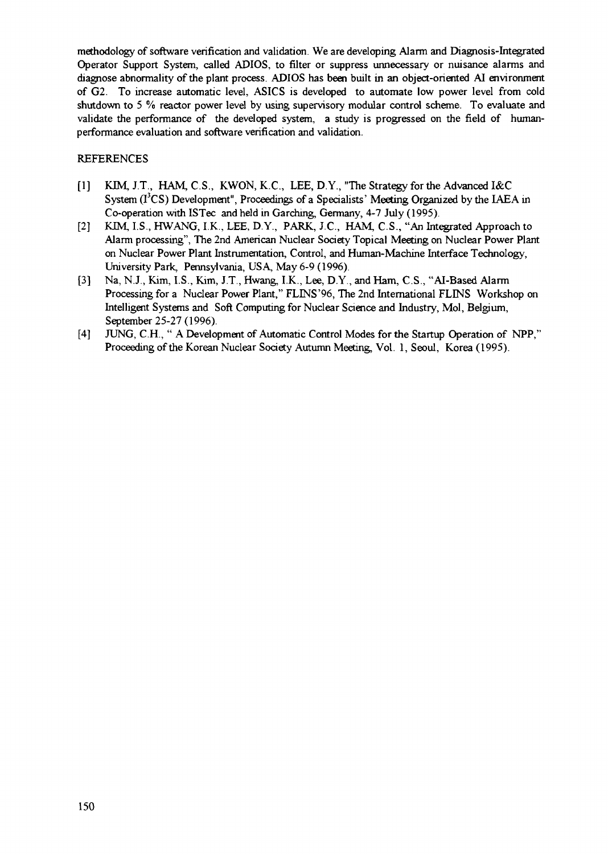methodology of software verification and validation. We are developing Alarm and Diagnosis-Integrated Operator Support System, called ADIOS, to filter or suppress unnecessary or nuisance alarms and diagnose abnormality of the plant process. ADIOS has been built in an object-oriented AI environment of G2. To increase automatic level, ASICS is developed to automate low power level from cold shutdown to 5 % reactor power level by using supervisory modular control scheme. To evaluate and validate the performance of the developed system, a study is progressed on the field of humanperformance evaluation and software verification and validation.

## REFERENCES

- [1] KIM, J.T., HAM, C.S., KWON, K.C., LEE, D.Y., "The Strategy for the Advanced I&C System  $(I<sup>3</sup>CS)$  Development", Proceedings of a Specialists' Meeting Organized by the IAEA in Co-operation with ISTec and held in Garching, Germany, 4-7 July (1995).
- [2] KIM, I.S., HWANG, I.K., LEE, D.Y., PARK, J.C., HAM, C.S., "An Integrated Approach to Alarm processing", The 2nd American Nuclear Society Topical Meeting on Nuclear Power Plant on Nuclear Power Plant Instrumentation, Control, and Human-Machine Interface Technology, University Park, Pennsylvania, USA, May 6-9 (1996).
- [3] Na, N.J., Kim, IS., Kim, J.T., Hwang, IK., Lee, D.Y., and Ham, C.S., "AI-Based Alarm Processing for a Nuclear Power Plant," FLINS'96, The 2nd International FLINS Workshop on Intelligent Systems and Soft Computing for Nuclear Science and Industry, Mol, Belgium, September 25-27 (1996).
- [4] JUNG, C.H., " A Development of Automatic Control Modes for the Startup Operation of NPP," Proceeding of the Korean Nuclear Society Autumn Meeting, Vol. 1, Seoul, Korea (1995).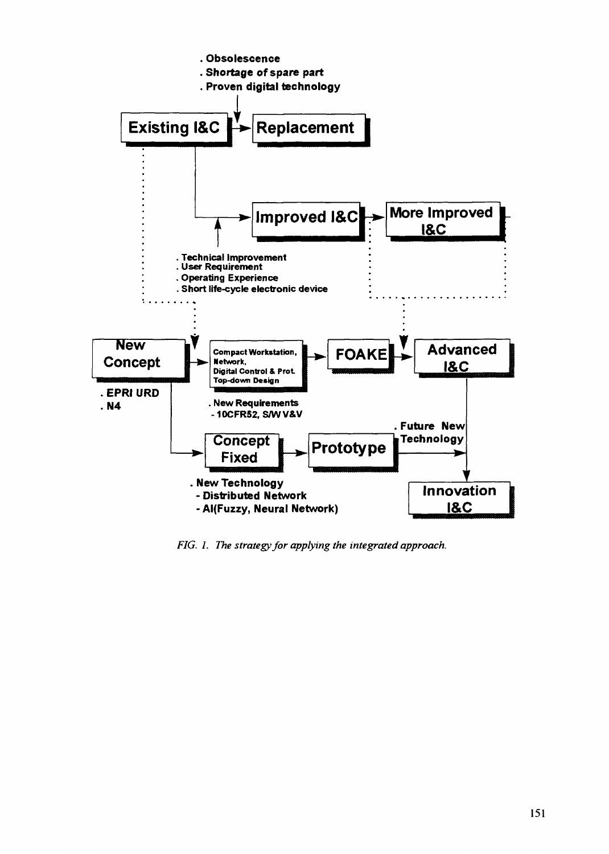

*FIG. 1. The strategy for applying the integrated approach.*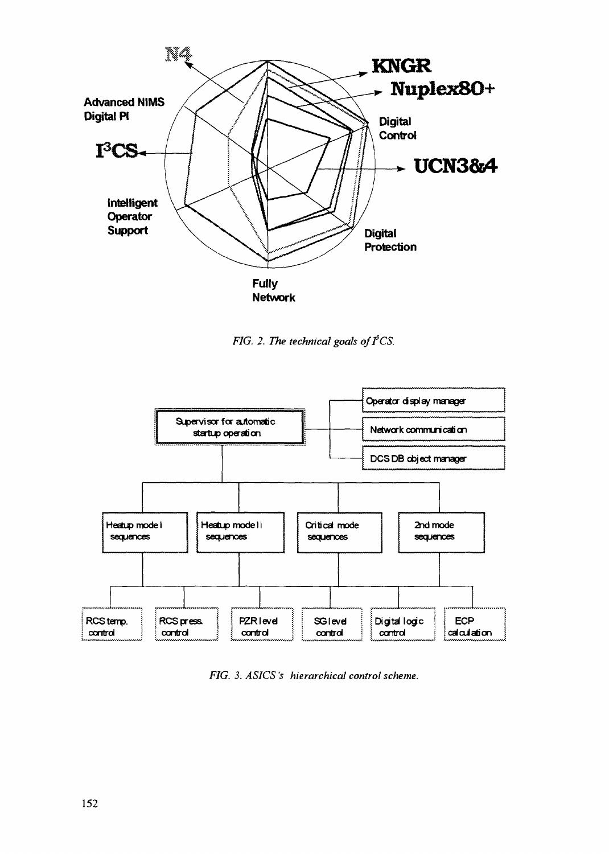

*FIG. 2. The technical goals of*  $I^3$ *CS.* 



*FIG. 3. ASICS's hierarchical control scheme.*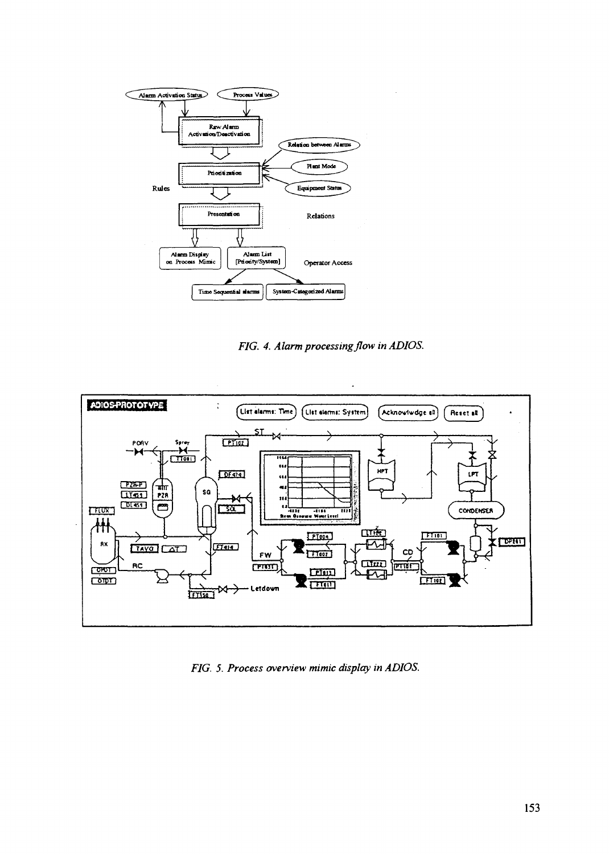

F/G. 4. *Alarm processing flow in ADIOS.*



*FIG. 5. Process overview mimic display in ADIOS.*